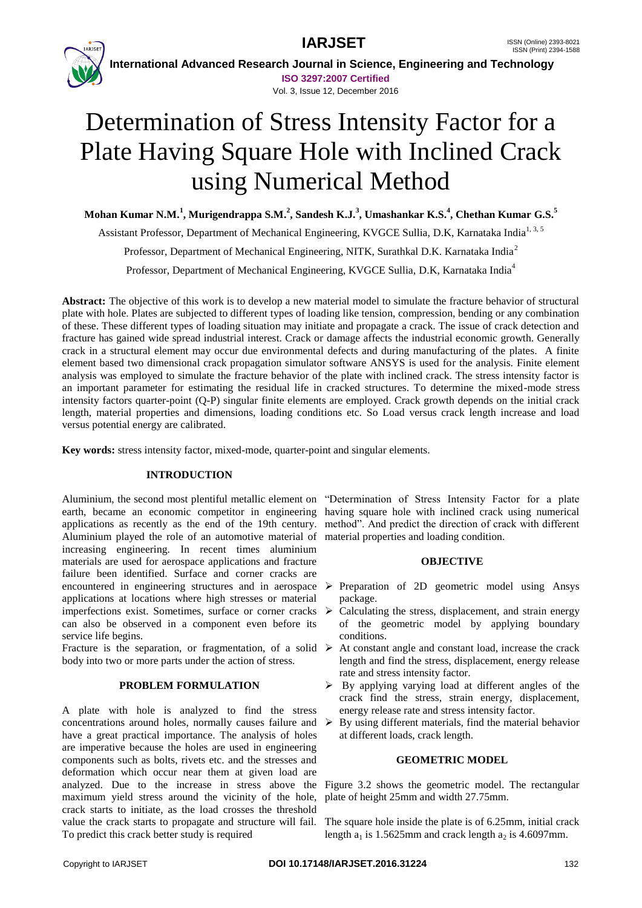**IARJSET** ISSN (Online) 2393-8021



 **International Advanced Research Journal in Science, Engineering and Technology ISO 3297:2007 Certified**

Vol. 3, Issue 12, December 2016

# Determination of Stress Intensity Factor for a Plate Having Square Hole with Inclined Crack using Numerical Method

**Mohan Kumar N.M.<sup>1</sup> , Murigendrappa S.M.<sup>2</sup> , Sandesh K.J.<sup>3</sup> , Umashankar K.S.<sup>4</sup> , Chethan Kumar G.S.<sup>5</sup>**

Assistant Professor, Department of Mechanical Engineering, KVGCE Sullia, D.K. Karnataka India<sup>1, 3, 5</sup>

Professor, Department of Mechanical Engineering, NITK, Surathkal D.K. Karnataka India<sup>2</sup>

Professor, Department of Mechanical Engineering, KVGCE Sullia, D.K, Karnataka India<sup>4</sup>

**Abstract:** The objective of this work is to develop a new material model to simulate the fracture behavior of structural plate with hole. Plates are subjected to different types of loading like tension, compression, bending or any combination of these. These different types of loading situation may initiate and propagate a crack. The issue of crack detection and fracture has gained wide spread industrial interest. Crack or damage affects the industrial economic growth. Generally crack in a structural element may occur due environmental defects and during manufacturing of the plates. A finite element based two dimensional crack propagation simulator software ANSYS is used for the analysis. Finite element analysis was employed to simulate the fracture behavior of the plate with inclined crack. The stress intensity factor is an important parameter for estimating the residual life in cracked structures. To determine the mixed-mode stress intensity factors quarter-point (Q-P) singular finite elements are employed. Crack growth depends on the initial crack length, material properties and dimensions, loading conditions etc. So Load versus crack length increase and load versus potential energy are calibrated.

**Key words:** stress intensity factor, mixed-mode, quarter-point and singular elements.

## **INTRODUCTION**

Aluminium, the second most plentiful metallic element on "Determination of Stress Intensity Factor for a plate earth, became an economic competitor in engineering having square hole with inclined crack using numerical applications as recently as the end of the 19th century. method". And predict the direction of crack with different Aluminium played the role of an automotive material of material properties and loading condition. increasing engineering. In recent times aluminium materials are used for aerospace applications and fracture failure been identified. Surface and corner cracks are encountered in engineering structures and in aerospace  $\triangleright$  Preparation of 2D geometric model using Ansys applications at locations where high stresses or material imperfections exist. Sometimes, surface or corner cracks  $\triangleright$ can also be observed in a component even before its service life begins.

Fracture is the separation, or fragmentation, of a solid  $\triangleright$  At constant angle and constant load, increase the crack body into two or more parts under the action of stress.

## **PROBLEM FORMULATION**

A plate with hole is analyzed to find the stress concentrations around holes, normally causes failure and have a great practical importance. The analysis of holes are imperative because the holes are used in engineering components such as bolts, rivets etc. and the stresses and deformation which occur near them at given load are analyzed. Due to the increase in stress above the Figure 3.2 shows the geometric model. The rectangular maximum yield stress around the vicinity of the hole, crack starts to initiate, as the load crosses the threshold value the crack starts to propagate and structure will fail. To predict this crack better study is required

## **OBJECTIVE**

- package.
- Calculating the stress, displacement, and strain energy of the geometric model by applying boundary conditions.
- length and find the stress, displacement, energy release rate and stress intensity factor.
- $\triangleright$  By applying varying load at different angles of the crack find the stress, strain energy, displacement, energy release rate and stress intensity factor.
- $\triangleright$  By using different materials, find the material behavior at different loads, crack length.

## **GEOMETRIC MODEL**

plate of height 25mm and width 27.75mm.

The square hole inside the plate is of 6.25mm, initial crack length  $a_1$  is 1.5625mm and crack length  $a_2$  is 4.6097mm.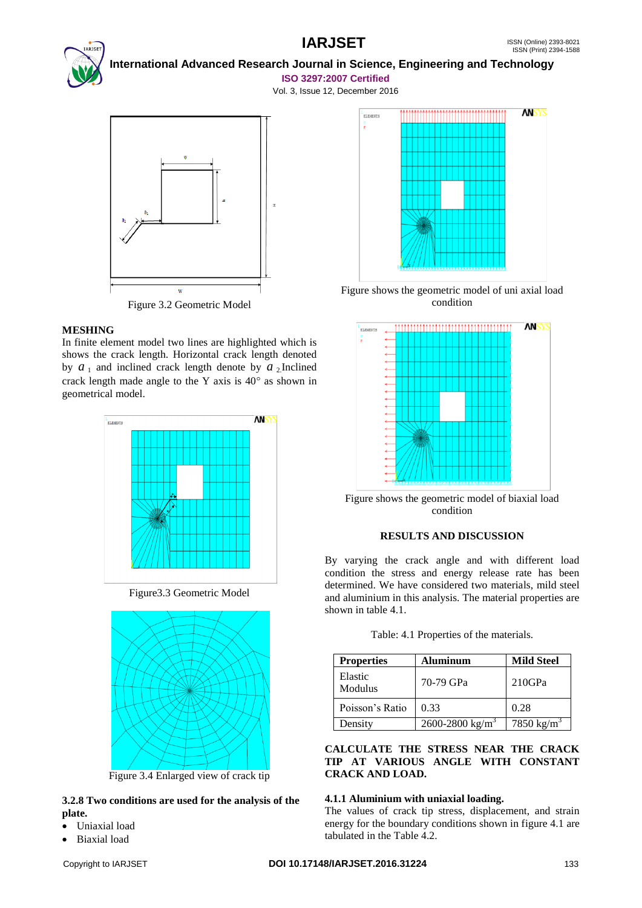

 **International Advanced Research Journal in Science, Engineering and Technology ISO 3297:2007 Certified**

Vol. 3, Issue 12, December 2016



Figure 3.2 Geometric Model

## **MESHING**

In finite element model two lines are highlighted which is shows the crack length. Horizontal crack length denoted by  $a_1$  and inclined crack length denote by  $a_2$  Inclined crack length made angle to the Y axis is  $40^{\circ}$  as shown in geometrical model.



Figure3.3 Geometric Model



Figure 3.4 Enlarged view of crack tip

## **3.2.8 Two conditions are used for the analysis of the plate.**

- Uniaxial load
- Biaxial load



Figure shows the geometric model of uni axial load condition



Figure shows the geometric model of biaxial load condition

## **RESULTS AND DISCUSSION**

By varying the crack angle and with different load condition the stress and energy release rate has been determined. We have considered two materials, mild steel and aluminium in this analysis. The material properties are shown in table 4.1.

| Table: 4.1 Properties of the materials. |  |  |  |
|-----------------------------------------|--|--|--|
|-----------------------------------------|--|--|--|

| <b>Properties</b>  | <b>Aluminum</b>             | <b>Mild Steel</b>      |
|--------------------|-----------------------------|------------------------|
| Elastic<br>Modulus | 70-79 GPa                   | $210$ GPa              |
| Poisson's Ratio    | 0.33                        | 0.28                   |
| Density            | 2600-2800 kg/m <sup>3</sup> | 7850 kg/m <sup>3</sup> |

**CALCULATE THE STRESS NEAR THE CRACK TIP AT VARIOUS ANGLE WITH CONSTANT CRACK AND LOAD.**

## **4.1.1 Aluminium with uniaxial loading.**

The values of crack tip stress, displacement, and strain energy for the boundary conditions shown in figure 4.1 are tabulated in the Table 4.2.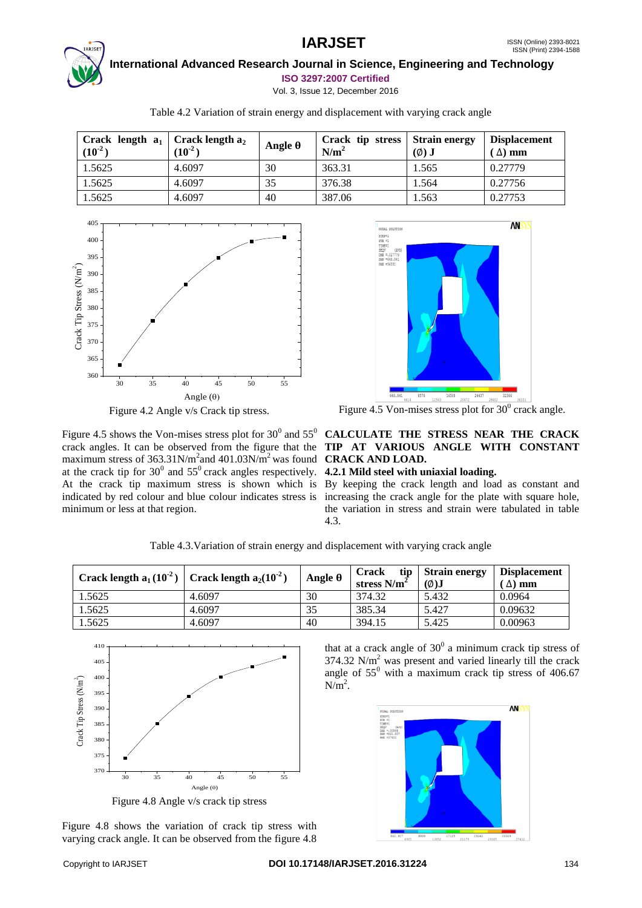

 **International Advanced Research Journal in Science, Engineering and Technology**

**ISO 3297:2007 Certified** Vol. 3, Issue 12, December 2016

| Crack length $a_1$<br>$(10^{-2})$ | Crack length $a_2$<br>$(10^{-2})$ | Angle θ | Crack tip stress   Strain energy<br>N/m <sup>2</sup> | $(\emptyset)$ J | <b>Displacement</b><br>$(\Delta)$ mm |
|-----------------------------------|-----------------------------------|---------|------------------------------------------------------|-----------------|--------------------------------------|
| 1.5625                            | 4.6097                            | 30      | 363.31                                               | 1.565           | 0.27779                              |
| 1.5625                            | 4.6097                            | 35      | 376.38                                               | 1.564           | 0.27756                              |
| 1.5625                            | 4.6097                            | 40      | 387.06                                               | 1.563           | 0.27753                              |

Table 4.2 Variation of strain energy and displacement with varying crack angle





Figure 4.5 shows the Von-mises stress plot for  $30^0$  and  $55^0$ maximum stress of 363.31N/m<sup>2</sup> and 401.03N/m<sup>2</sup> was found **CRACK AND LOAD.** at the crack tip for  $30^0$  and  $55^0$  crack angles respectively. **4.2.1 Mild steel with uniaxial loading.** At the crack tip maximum stress is shown which is By keeping the crack length and load as constant and indicated by red colour and blue colour indicates stress is increasing the crack angle for the plate with square hole, minimum or less at that region.



Figure 4.5 Von-mises stress plot for  $30^0$  crack angle.

## crack angles. It can be observed from the figure that the **TIP AT VARIOUS ANGLE WITH CONSTANT CALCULATE THE STRESS NEAR THE CRACK**

the variation in stress and strain were tabulated in table 4.3.

| Crack length $a_1(10^2)$ | Crack length $a_2(10^2)$ | Angle θ | tip<br><b>Crack</b><br>stress N/m <sup>2</sup> | <b>Strain energy</b><br>$\phi$ ) | <b>Displacement</b><br>$\Delta$ ) mm |
|--------------------------|--------------------------|---------|------------------------------------------------|----------------------------------|--------------------------------------|
| .5625                    | 4.6097                   | 30      | 374.32                                         | 5.432                            | 0.0964                               |
| .5625                    | 4.6097                   | 35      | 385.34                                         | 5.427                            | 0.09632                              |
| .5625                    | 4.6097                   | 40      | 394.15                                         | 5.425                            | 0.00963                              |

Table 4.3.Variation of strain energy and displacement with varying crack angle



Figure 4.8 shows the variation of crack tip stress with varying crack angle. It can be observed from the figure 4.8

that at a crack angle of  $30^0$  a minimum crack tip stress of 374.32 N/m<sup>2</sup> was present and varied linearly till the crack angle of  $55^{\circ}$  with a maximum crack tip stress of 406.67  $N/m<sup>2</sup>$ .

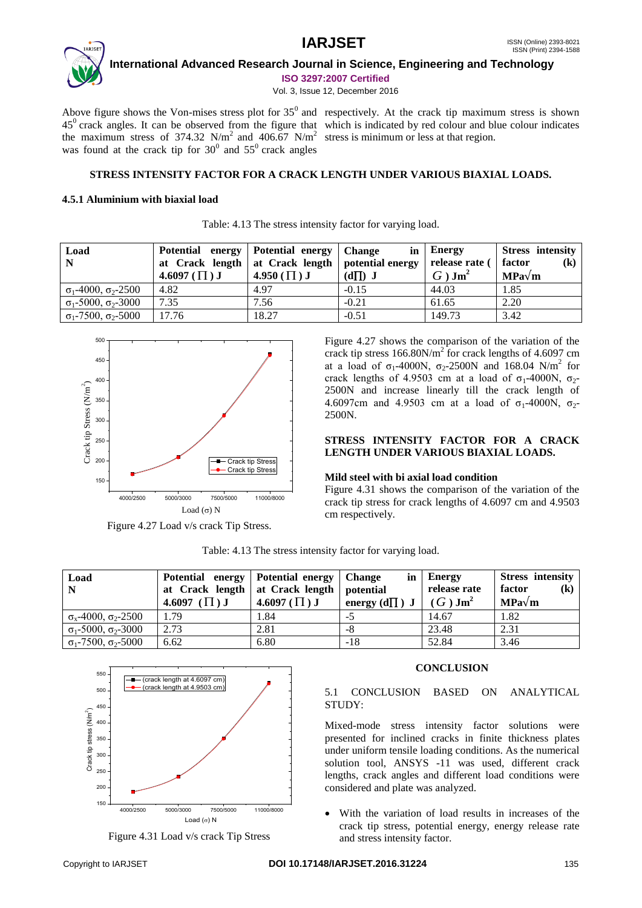

 **International Advanced Research Journal in Science, Engineering and Technology ISO 3297:2007 Certified**

Vol. 3, Issue 12, December 2016

Above figure shows the Von-mises stress plot for  $35^{\circ}$  and respectively. At the crack tip maximum stress is shown the maximum stress of 374.32 N/m<sup>2</sup> and 406.67 N/m<sup>2</sup> stress is minimum or less at that region. was found at the crack tip for  $30^0$  and  $55^0$  crack angles

 $45^\circ$  crack angles. It can be observed from the figure that which is indicated by red colour and blue colour indicates

## **STRESS INTENSITY FACTOR FOR A CRACK LENGTH UNDER VARIOUS BIAXIAL LOADS.**

Table: 4.13 The stress intensity factor for varying load.

## **4.5.1 Aluminium with biaxial load**

| Load<br>$\mathbf N$                | Potential energy<br>at Crack length   at Crack length  <br>4.6097 $(\Pi)$ J | Potential energy<br>4.950 $(\Pi)$ J | <b>Change</b><br>in<br>potential energy<br>$(d \prod) J$ | Energy<br>release rate (<br>$G$ ) Jm <sup>2</sup> | <b>Stress intensity</b><br>factor<br>$\left( \mathbf{k}\right)$<br>$MPa\sqrt{m}$ |
|------------------------------------|-----------------------------------------------------------------------------|-------------------------------------|----------------------------------------------------------|---------------------------------------------------|----------------------------------------------------------------------------------|
| $\sigma_1$ -4000, $\sigma_2$ -2500 | 4.82                                                                        | 4.97                                | $-0.15$                                                  | 44.03                                             | 1.85                                                                             |
| $\sigma_1$ -5000, $\sigma_2$ -3000 | 7.35                                                                        | 7.56                                | $-0.21$                                                  | 61.65                                             | 2.20                                                                             |
| $\sigma_1$ -7500, $\sigma_2$ -5000 | 17.76                                                                       | 18.27                               | $-0.51$                                                  | 149.73                                            | 3.42                                                                             |

500 450 400 Crack tip Stress (N/m<sup>2</sup>) Crack tip Stress (Mm)<br>Crack tip Stress (8)<br>20 - Particular Contract of Crack of Crack of Crack of Crack of Crack of Crack of Crack of Crack of Crack of C<br>All Crack of Crack of Crack of Crack of Crack of Crack of Crack of C 350 300 250 200 Crack tip Stress ۰ Crack tip Stress 150 4000/2500 5000/3000 7500/5000 11000/8000 Load  $(\sigma)$  N

Figure 4.27 Load v/s crack Tip Stress.

Figure 4.27 shows the comparison of the variation of the crack tip stress  $166.80$ N/m<sup>2</sup> for crack lengths of 4.6097 cm at a load of  $\sigma_1$ -4000N,  $\sigma_2$ -2500N and 168.04 N/m<sup>2</sup> for crack lengths of 4.9503 cm at a load of  $\sigma_1$ -4000N,  $\sigma_2$ -2500N and increase linearly till the crack length of 4.6097cm and 4.9503 cm at a load of  $\sigma_1$ -4000N,  $\sigma_2$ -2500N.

## **STRESS INTENSITY FACTOR FOR A CRACK LENGTH UNDER VARIOUS BIAXIAL LOADS.**

## **Mild steel with bi axial load condition**

Figure 4.31 shows the comparison of the variation of the crack tip stress for crack lengths of 4.6097 cm and 4.9503 cm respectively.

| Load<br>$\mathbf N$                    | Potential energy<br>at Crack length   at Crack length  <br>4.6097 $(\Pi)$ J | Potential energy<br>4.6097 ( $\Pi$ ) J | <b>Change</b><br>in<br>potential<br>energy $(d\Pi)$ J | Energy<br>release rate<br>$(G)$ Jm <sup>2</sup> | <b>Stress intensity</b><br>factor<br>$\mathbf (k)$<br>$MPa\sqrt{m}$ |
|----------------------------------------|-----------------------------------------------------------------------------|----------------------------------------|-------------------------------------------------------|-------------------------------------------------|---------------------------------------------------------------------|
| $\sigma_{x}$ -4000, $\sigma_{2}$ -2500 | 1.79                                                                        | l.84                                   | -7                                                    | 14.67                                           | 1.82                                                                |
| $\sigma_1$ -5000, $\sigma_2$ -3000     | 2.73                                                                        | 2.81                                   | -8                                                    | 23.48                                           | 2.31                                                                |
| $\sigma_1$ -7500, $\sigma_2$ -5000     | 6.62                                                                        | 6.80                                   | $-18$                                                 | 52.84                                           | 3.46                                                                |

Table: 4.13 The stress intensity factor for varying load.



Figure 4.31 Load v/s crack Tip Stress

## **CONCLUSION**

## 5.1 CONCLUSION BASED ON ANALYTICAL STUDY:

Mixed-mode stress intensity factor solutions were presented for inclined cracks in finite thickness plates under uniform tensile loading conditions. As the numerical solution tool, ANSYS -11 was used, different crack lengths, crack angles and different load conditions were considered and plate was analyzed.

 With the variation of load results in increases of the crack tip stress, potential energy, energy release rate and stress intensity factor.